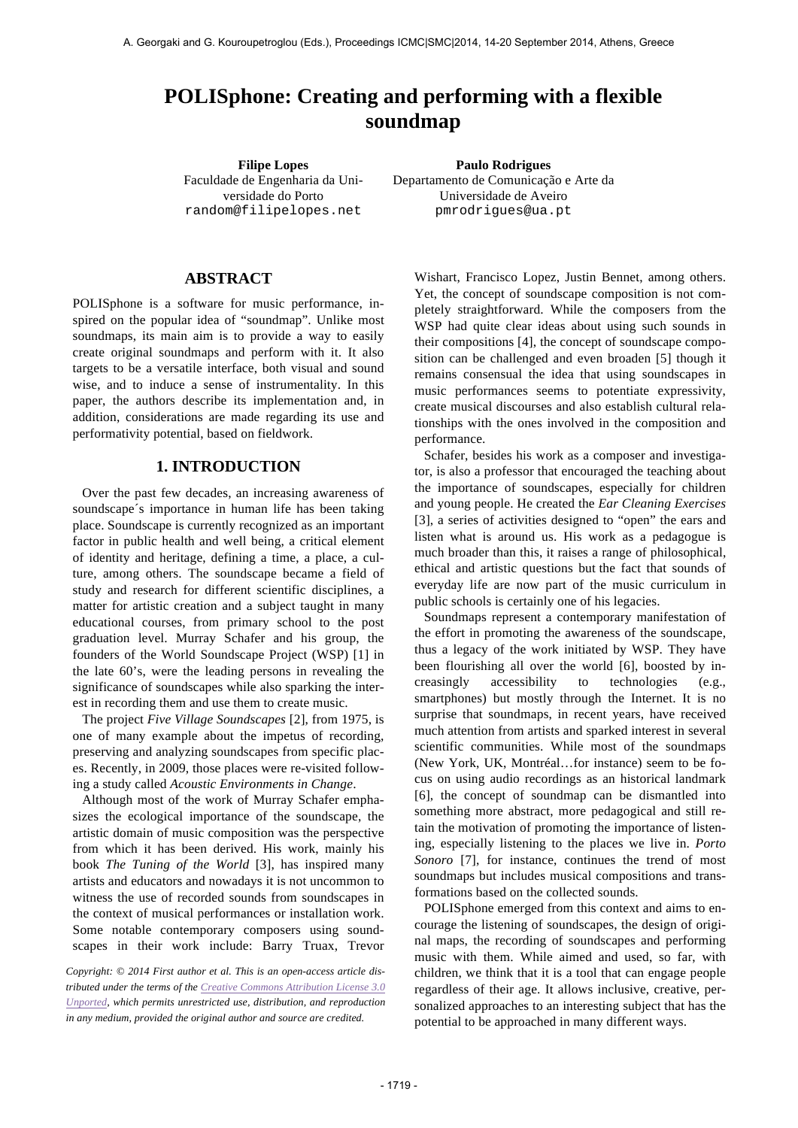# **POLISphone: Creating and performing with a flexible soundmap**

Faculdade de Engenharia da Universidade do Porto random@filipelopes.net

**Filipe Lopes Paulo Rodrigues** Departamento de Comunicação e Arte da Universidade de Aveiro pmrodrigues@ua.pt

## **ABSTRACT**

POLISphone is a software for music performance, inspired on the popular idea of "soundmap". Unlike most soundmaps, its main aim is to provide a way to easily create original soundmaps and perform with it. It also targets to be a versatile interface, both visual and sound wise, and to induce a sense of instrumentality. In this paper, the authors describe its implementation and, in addition, considerations are made regarding its use and performativity potential, based on fieldwork.

## **1. INTRODUCTION**

Over the past few decades, an increasing awareness of soundscape´s importance in human life has been taking place. Soundscape is currently recognized as an important factor in public health and well being, a critical element of identity and heritage, defining a time, a place, a culture, among others. The soundscape became a field of study and research for different scientific disciplines, a matter for artistic creation and a subject taught in many educational courses, from primary school to the post graduation level. Murray Schafer and his group, the founders of the World Soundscape Project (WSP) [1] in the late 60's, were the leading persons in revealing the significance of soundscapes while also sparking the interest in recording them and use them to create music.

The project *Five Village Soundscapes* [2], from 1975, is one of many example about the impetus of recording, preserving and analyzing soundscapes from specific places. Recently, in 2009, those places were re-visited following a study called *Acoustic Environments in Change*.

Although most of the work of Murray Schafer emphasizes the ecological importance of the soundscape, the artistic domain of music composition was the perspective from which it has been derived. His work, mainly his book *The Tuning of the World* [3], has inspired many artists and educators and nowadays it is not uncommon to witness the use of recorded sounds from soundscapes in the context of musical performances or installation work. Some notable contemporary composers using soundscapes in their work include: Barry Truax, Trevor

*Copyright: © 2014 First author et al. This is an open-access article distributed under the terms of the Creative Commons Attribution License 3.0 Unported, which permits unrestricted use, distribution, and reproduction in any medium, provided the original author and source are credited.*

Wishart, Francisco Lopez, Justin Bennet, among others. Yet, the concept of soundscape composition is not completely straightforward. While the composers from the WSP had quite clear ideas about using such sounds in their compositions [4], the concept of soundscape composition can be challenged and even broaden [5] though it remains consensual the idea that using soundscapes in music performances seems to potentiate expressivity, create musical discourses and also establish cultural relationships with the ones involved in the composition and performance.

Schafer, besides his work as a composer and investigator, is also a professor that encouraged the teaching about the importance of soundscapes, especially for children and young people. He created the *Ear Cleaning Exercises*  [3], a series of activities designed to "open" the ears and listen what is around us. His work as a pedagogue is much broader than this, it raises a range of philosophical, ethical and artistic questions but the fact that sounds of everyday life are now part of the music curriculum in public schools is certainly one of his legacies.

Soundmaps represent a contemporary manifestation of the effort in promoting the awareness of the soundscape, thus a legacy of the work initiated by WSP. They have been flourishing all over the world [6], boosted by increasingly accessibility to technologies (e.g., smartphones) but mostly through the Internet. It is no surprise that soundmaps, in recent years, have received much attention from artists and sparked interest in several scientific communities. While most of the soundmaps (New York, UK, Montréal…for instance) seem to be focus on using audio recordings as an historical landmark [6], the concept of soundmap can be dismantled into something more abstract, more pedagogical and still retain the motivation of promoting the importance of listening, especially listening to the places we live in. *Porto Sonoro* [7], for instance, continues the trend of most soundmaps but includes musical compositions and transformations based on the collected sounds.

POLISphone emerged from this context and aims to encourage the listening of soundscapes, the design of original maps, the recording of soundscapes and performing music with them. While aimed and used, so far, with children, we think that it is a tool that can engage people regardless of their age. It allows inclusive, creative, personalized approaches to an interesting subject that has the potential to be approached in many different ways.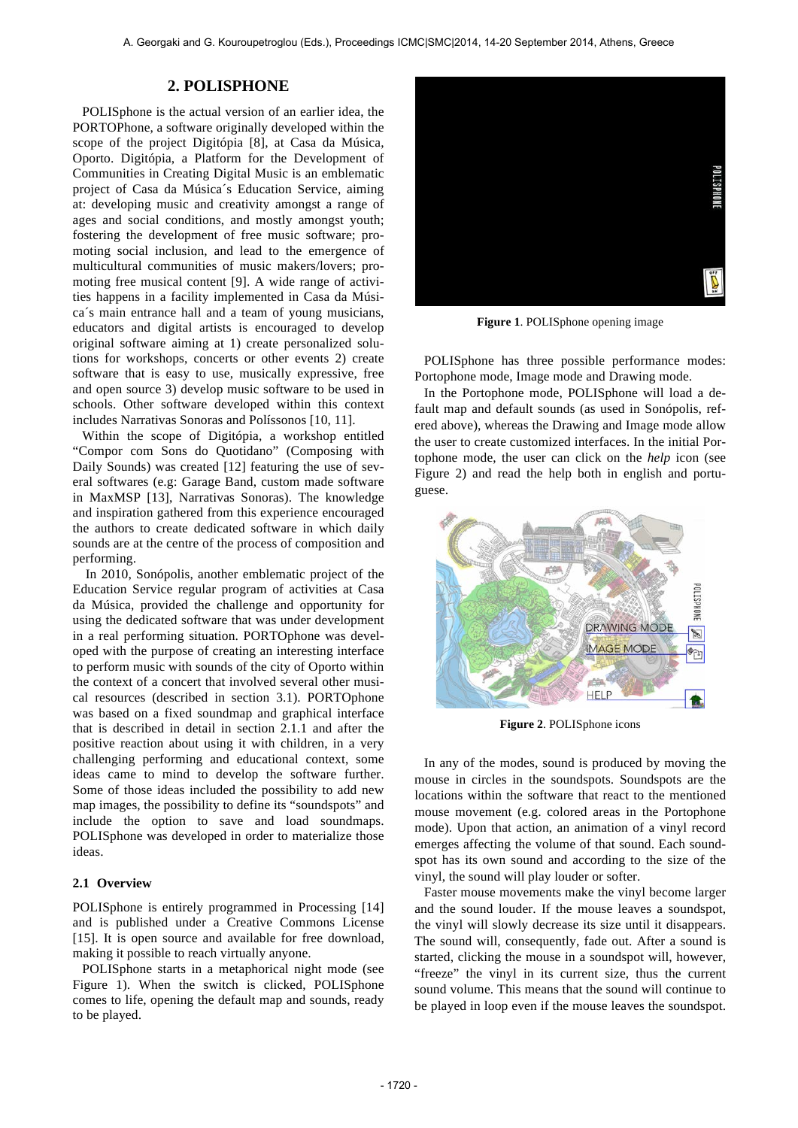## **2. POLISPHONE**

POLISphone is the actual version of an earlier idea, the PORTOPhone, a software originally developed within the scope of the project Digitópia [8], at Casa da Música, Oporto. Digitópia, a Platform for the Development of Communities in Creating Digital Music is an emblematic project of Casa da Música´s Education Service, aiming at: developing music and creativity amongst a range of ages and social conditions, and mostly amongst youth; fostering the development of free music software; promoting social inclusion, and lead to the emergence of multicultural communities of music makers/lovers; promoting free musical content [9]. A wide range of activities happens in a facility implemented in Casa da Música´s main entrance hall and a team of young musicians, educators and digital artists is encouraged to develop original software aiming at 1) create personalized solutions for workshops, concerts or other events 2) create software that is easy to use, musically expressive, free and open source 3) develop music software to be used in schools. Other software developed within this context includes Narrativas Sonoras and Políssonos [10, 11].

Within the scope of Digitópia, a workshop entitled "Compor com Sons do Quotidano" (Composing with Daily Sounds) was created [12] featuring the use of several softwares (e.g: Garage Band, custom made software in MaxMSP [13], Narrativas Sonoras). The knowledge and inspiration gathered from this experience encouraged the authors to create dedicated software in which daily sounds are at the centre of the process of composition and performing.

In 2010, Sonópolis, another emblematic project of the Education Service regular program of activities at Casa da Música, provided the challenge and opportunity for using the dedicated software that was under development in a real performing situation. PORTOphone was developed with the purpose of creating an interesting interface to perform music with sounds of the city of Oporto within the context of a concert that involved several other musical resources (described in section 3.1). PORTOphone was based on a fixed soundmap and graphical interface that is described in detail in section 2.1.1 and after the positive reaction about using it with children, in a very challenging performing and educational context, some ideas came to mind to develop the software further. Some of those ideas included the possibility to add new map images, the possibility to define its "soundspots" and include the option to save and load soundmaps. POLISphone was developed in order to materialize those ideas.

## **2.1 Overview**

POLISphone is entirely programmed in Processing [14] and is published under a Creative Commons License [15]. It is open source and available for free download, making it possible to reach virtually anyone.

POLISphone starts in a metaphorical night mode (see Figure 1). When the switch is clicked, POLISphone comes to life, opening the default map and sounds, ready to be played.



**Figure 1**. POLISphone opening image

POLISphone has three possible performance modes: Portophone mode, Image mode and Drawing mode.

In the Portophone mode, POLISphone will load a default map and default sounds (as used in Sonópolis, refered above), whereas the Drawing and Image mode allow the user to create customized interfaces. In the initial Portophone mode, the user can click on the *help* icon (see Figure 2) and read the help both in english and portuguese.



**Figure 2**. POLISphone icons

In any of the modes, sound is produced by moving the mouse in circles in the soundspots. Soundspots are the locations within the software that react to the mentioned mouse movement (e.g. colored areas in the Portophone mode). Upon that action, an animation of a vinyl record emerges affecting the volume of that sound. Each soundspot has its own sound and according to the size of the vinyl, the sound will play louder or softer.

Faster mouse movements make the vinyl become larger and the sound louder. If the mouse leaves a soundspot, the vinyl will slowly decrease its size until it disappears. The sound will, consequently, fade out. After a sound is started, clicking the mouse in a soundspot will, however, "freeze" the vinyl in its current size, thus the current sound volume. This means that the sound will continue to be played in loop even if the mouse leaves the soundspot.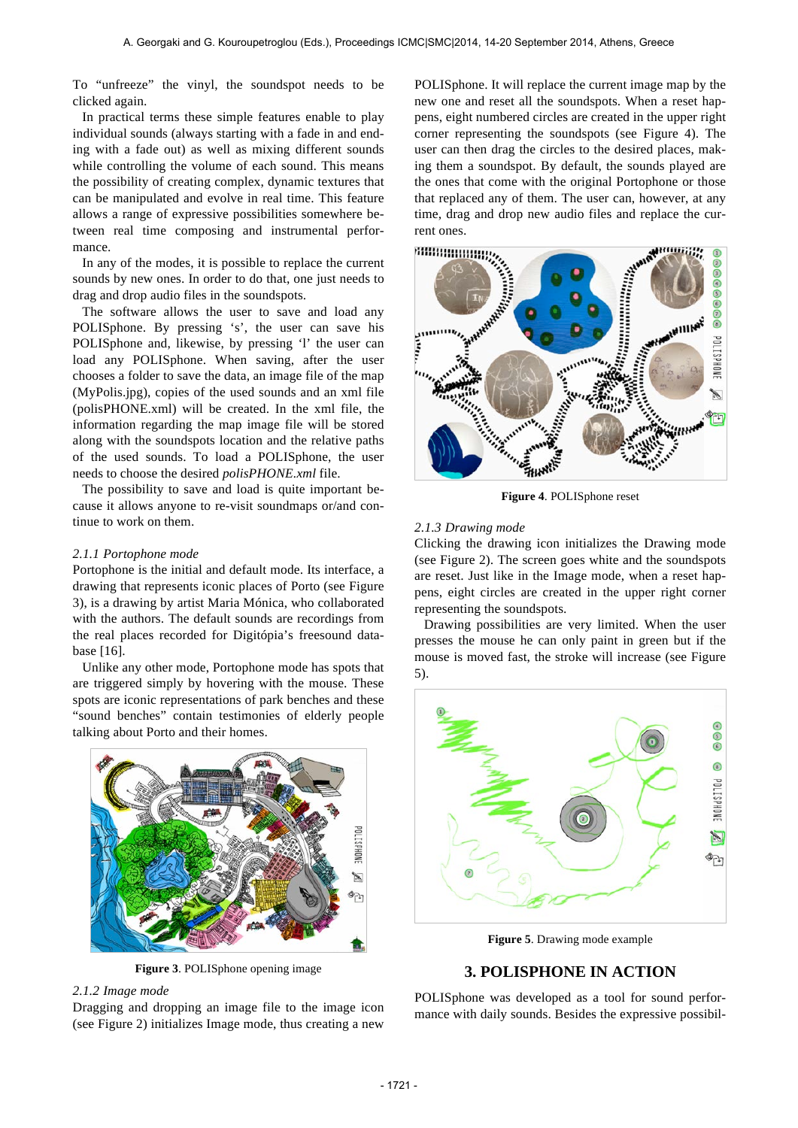To "unfreeze" the vinyl, the soundspot needs to be clicked again.

In practical terms these simple features enable to play individual sounds (always starting with a fade in and ending with a fade out) as well as mixing different sounds while controlling the volume of each sound. This means the possibility of creating complex, dynamic textures that can be manipulated and evolve in real time. This feature allows a range of expressive possibilities somewhere between real time composing and instrumental performance.

In any of the modes, it is possible to replace the current sounds by new ones. In order to do that, one just needs to drag and drop audio files in the soundspots.

The software allows the user to save and load any POLISphone. By pressing 's', the user can save his POLISphone and, likewise, by pressing 'l' the user can load any POLISphone. When saving, after the user chooses a folder to save the data, an image file of the map (MyPolis.jpg), copies of the used sounds and an xml file (polisPHONE.xml) will be created. In the xml file, the information regarding the map image file will be stored along with the soundspots location and the relative paths of the used sounds. To load a POLISphone, the user needs to choose the desired *polisPHONE.xml* file.

The possibility to save and load is quite important because it allows anyone to re-visit soundmaps or/and continue to work on them.

#### *2.1.1 Portophone mode*

Portophone is the initial and default mode. Its interface, a drawing that represents iconic places of Porto (see Figure 3), is a drawing by artist Maria Mónica, who collaborated with the authors. The default sounds are recordings from the real places recorded for Digitópia's freesound database [16].

Unlike any other mode, Portophone mode has spots that are triggered simply by hovering with the mouse. These spots are iconic representations of park benches and these "sound benches" contain testimonies of elderly people talking about Porto and their homes.



**Figure 3**. POLISphone opening image

## *2.1.2 Image mode*

Dragging and dropping an image file to the image icon (see Figure 2) initializes Image mode, thus creating a new

POLISphone. It will replace the current image map by the new one and reset all the soundspots. When a reset happens, eight numbered circles are created in the upper right corner representing the soundspots (see Figure 4). The user can then drag the circles to the desired places, making them a soundspot. By default, the sounds played are the ones that come with the original Portophone or those that replaced any of them. The user can, however, at any time, drag and drop new audio files and replace the current ones.



**Figure 4**. POLISphone reset

#### *2.1.3 Drawing mode*

Clicking the drawing icon initializes the Drawing mode (see Figure 2). The screen goes white and the soundspots are reset. Just like in the Image mode, when a reset happens, eight circles are created in the upper right corner representing the soundspots.

Drawing possibilities are very limited. When the user presses the mouse he can only paint in green but if the mouse is moved fast, the stroke will increase (see Figure 5).



**Figure 5**. Drawing mode example

# **3. POLISPHONE IN ACTION**

POLISphone was developed as a tool for sound performance with daily sounds. Besides the expressive possibil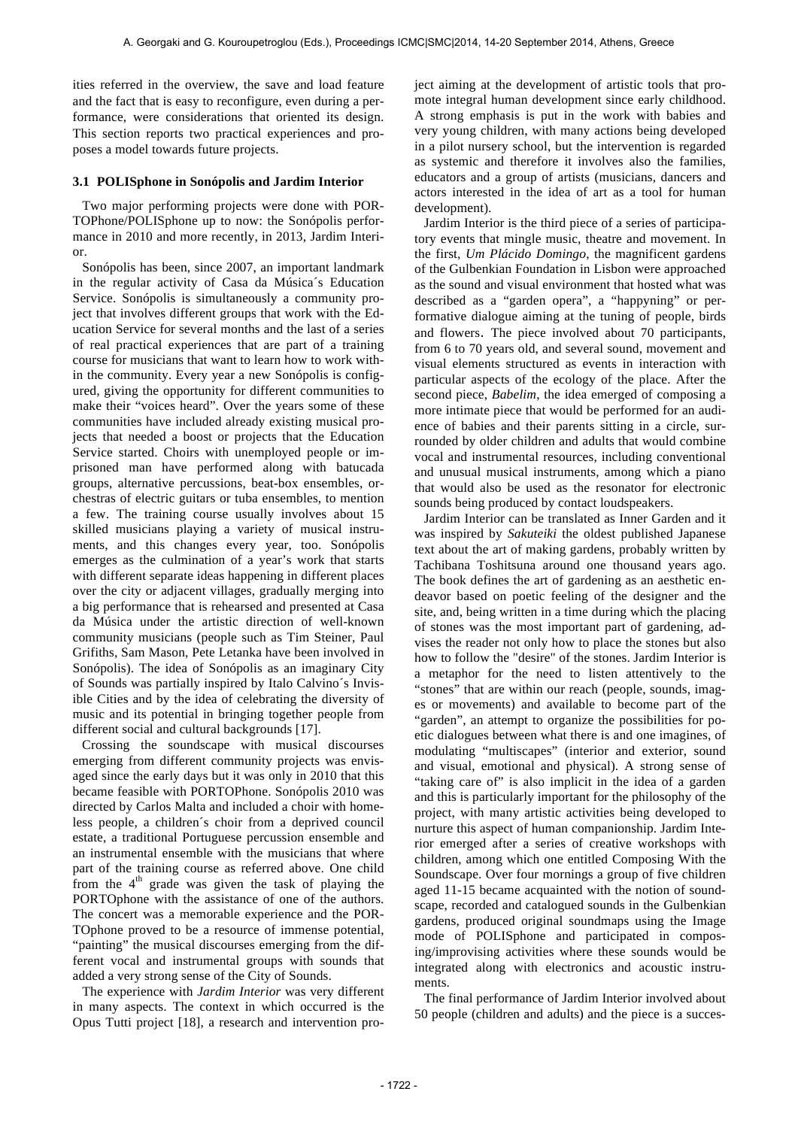ities referred in the overview, the save and load feature and the fact that is easy to reconfigure, even during a performance, were considerations that oriented its design. This section reports two practical experiences and proposes a model towards future projects.

#### **3.1 POLISphone in Sonópolis and Jardim Interior**

Two major performing projects were done with POR-TOPhone/POLISphone up to now: the Sonópolis performance in 2010 and more recently, in 2013, Jardim Interior.

Sonópolis has been, since 2007, an important landmark in the regular activity of Casa da Música´s Education Service. Sonópolis is simultaneously a community project that involves different groups that work with the Education Service for several months and the last of a series of real practical experiences that are part of a training course for musicians that want to learn how to work within the community. Every year a new Sonópolis is configured, giving the opportunity for different communities to make their "voices heard". Over the years some of these communities have included already existing musical projects that needed a boost or projects that the Education Service started. Choirs with unemployed people or imprisoned man have performed along with batucada groups, alternative percussions, beat-box ensembles, orchestras of electric guitars or tuba ensembles, to mention a few. The training course usually involves about 15 skilled musicians playing a variety of musical instruments, and this changes every year, too. Sonópolis emerges as the culmination of a year's work that starts with different separate ideas happening in different places over the city or adjacent villages, gradually merging into a big performance that is rehearsed and presented at Casa da Música under the artistic direction of well-known community musicians (people such as Tim Steiner, Paul Grifiths, Sam Mason, Pete Letanka have been involved in Sonópolis). The idea of Sonópolis as an imaginary City of Sounds was partially inspired by Italo Calvino´s Invisible Cities and by the idea of celebrating the diversity of music and its potential in bringing together people from different social and cultural backgrounds [17].

Crossing the soundscape with musical discourses emerging from different community projects was envisaged since the early days but it was only in 2010 that this became feasible with PORTOPhone. Sonópolis 2010 was directed by Carlos Malta and included a choir with homeless people, a children´s choir from a deprived council estate, a traditional Portuguese percussion ensemble and an instrumental ensemble with the musicians that where part of the training course as referred above. One child from the  $4<sup>th</sup>$  grade was given the task of playing the PORTOphone with the assistance of one of the authors. The concert was a memorable experience and the POR-TOphone proved to be a resource of immense potential, "painting" the musical discourses emerging from the different vocal and instrumental groups with sounds that added a very strong sense of the City of Sounds.

The experience with *Jardim Interior* was very different in many aspects. The context in which occurred is the Opus Tutti project [18], a research and intervention project aiming at the development of artistic tools that promote integral human development since early childhood. A strong emphasis is put in the work with babies and very young children, with many actions being developed in a pilot nursery school, but the intervention is regarded as systemic and therefore it involves also the families, educators and a group of artists (musicians, dancers and actors interested in the idea of art as a tool for human development).

Jardim Interior is the third piece of a series of participatory events that mingle music, theatre and movement. In the first, *Um Plácido Domingo*, the magnificent gardens of the Gulbenkian Foundation in Lisbon were approached as the sound and visual environment that hosted what was described as a "garden opera", a "happyning" or performative dialogue aiming at the tuning of people, birds and flowers. The piece involved about 70 participants, from 6 to 70 years old, and several sound, movement and visual elements structured as events in interaction with particular aspects of the ecology of the place. After the second piece, *Babelim*, the idea emerged of composing a more intimate piece that would be performed for an audience of babies and their parents sitting in a circle, surrounded by older children and adults that would combine vocal and instrumental resources, including conventional and unusual musical instruments, among which a piano that would also be used as the resonator for electronic sounds being produced by contact loudspeakers.

Jardim Interior can be translated as Inner Garden and it was inspired by *Sakuteiki* the oldest published Japanese text about the art of making gardens, probably written by Tachibana Toshitsuna around one thousand years ago. The book defines the art of gardening as an aesthetic endeavor based on poetic feeling of the designer and the site, and, being written in a time during which the placing of stones was the most important part of gardening, advises the reader not only how to place the stones but also how to follow the "desire" of the stones. Jardim Interior is a metaphor for the need to listen attentively to the "stones" that are within our reach (people, sounds, images or movements) and available to become part of the "garden", an attempt to organize the possibilities for poetic dialogues between what there is and one imagines, of modulating "multiscapes" (interior and exterior, sound and visual, emotional and physical). A strong sense of "taking care of" is also implicit in the idea of a garden and this is particularly important for the philosophy of the project, with many artistic activities being developed to nurture this aspect of human companionship. Jardim Interior emerged after a series of creative workshops with children, among which one entitled Composing With the Soundscape. Over four mornings a group of five children aged 11-15 became acquainted with the notion of soundscape, recorded and catalogued sounds in the Gulbenkian gardens, produced original soundmaps using the Image mode of POLISphone and participated in composing/improvising activities where these sounds would be integrated along with electronics and acoustic instruments.

The final performance of Jardim Interior involved about 50 people (children and adults) and the piece is a succes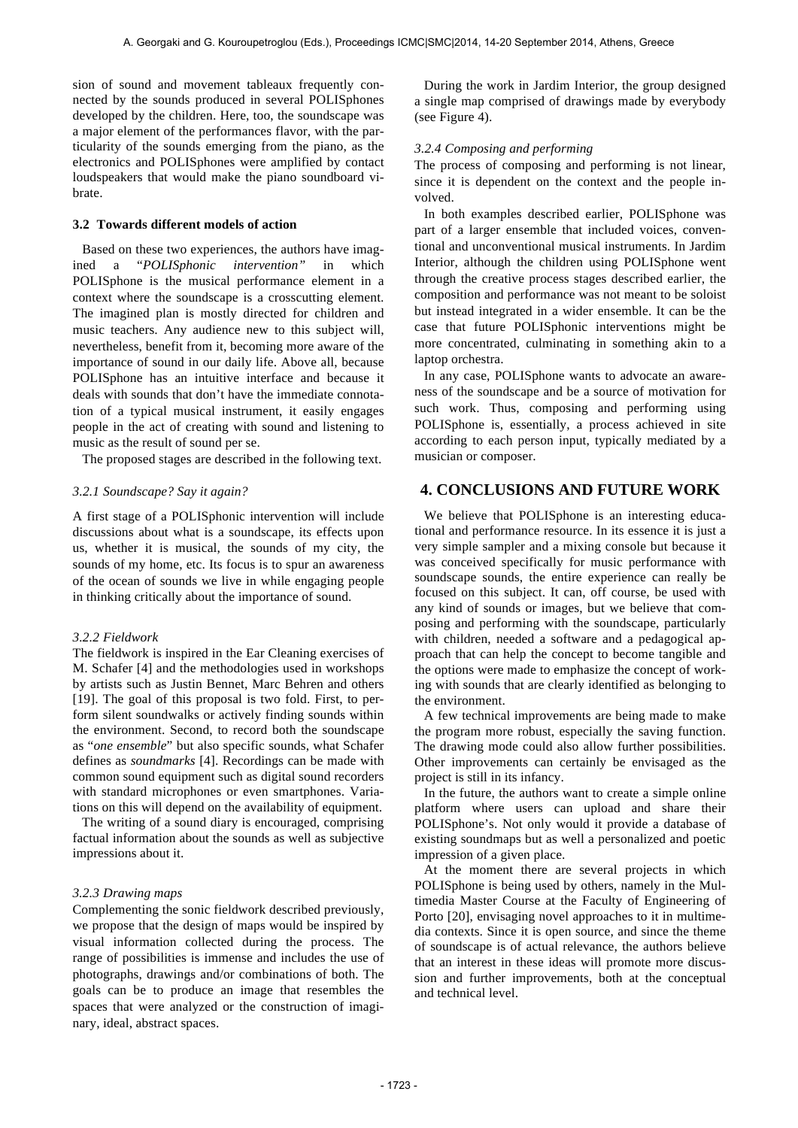sion of sound and movement tableaux frequently connected by the sounds produced in several POLISphones developed by the children. Here, too, the soundscape was a major element of the performances flavor, with the particularity of the sounds emerging from the piano, as the electronics and POLISphones were amplified by contact loudspeakers that would make the piano soundboard vibrate.

#### **3.2 Towards different models of action**

Based on these two experiences, the authors have imagined a "*POLISphonic intervention"* in which POLISphone is the musical performance element in a context where the soundscape is a crosscutting element. The imagined plan is mostly directed for children and music teachers. Any audience new to this subject will, nevertheless, benefit from it, becoming more aware of the importance of sound in our daily life. Above all, because POLISphone has an intuitive interface and because it deals with sounds that don't have the immediate connotation of a typical musical instrument, it easily engages people in the act of creating with sound and listening to music as the result of sound per se.

The proposed stages are described in the following text.

### *3.2.1 Soundscape? Say it again?*

A first stage of a POLISphonic intervention will include discussions about what is a soundscape, its effects upon us, whether it is musical, the sounds of my city, the sounds of my home, etc. Its focus is to spur an awareness of the ocean of sounds we live in while engaging people in thinking critically about the importance of sound.

#### *3.2.2 Fieldwork*

The fieldwork is inspired in the Ear Cleaning exercises of M. Schafer [4] and the methodologies used in workshops by artists such as Justin Bennet, Marc Behren and others [19]. The goal of this proposal is two fold. First, to perform silent soundwalks or actively finding sounds within the environment. Second, to record both the soundscape as "*one ensemble*" but also specific sounds, what Schafer defines as *soundmarks* [4]. Recordings can be made with common sound equipment such as digital sound recorders with standard microphones or even smartphones. Variations on this will depend on the availability of equipment.

The writing of a sound diary is encouraged, comprising factual information about the sounds as well as subjective impressions about it.

#### *3.2.3 Drawing maps*

Complementing the sonic fieldwork described previously, we propose that the design of maps would be inspired by visual information collected during the process. The range of possibilities is immense and includes the use of photographs, drawings and/or combinations of both. The goals can be to produce an image that resembles the spaces that were analyzed or the construction of imaginary, ideal, abstract spaces.

During the work in Jardim Interior, the group designed a single map comprised of drawings made by everybody (see Figure 4).

#### *3.2.4 Composing and performing*

The process of composing and performing is not linear, since it is dependent on the context and the people involved.

In both examples described earlier, POLISphone was part of a larger ensemble that included voices, conventional and unconventional musical instruments. In Jardim Interior, although the children using POLISphone went through the creative process stages described earlier, the composition and performance was not meant to be soloist but instead integrated in a wider ensemble. It can be the case that future POLISphonic interventions might be more concentrated, culminating in something akin to a laptop orchestra.

In any case, POLISphone wants to advocate an awareness of the soundscape and be a source of motivation for such work. Thus, composing and performing using POLISphone is, essentially, a process achieved in site according to each person input, typically mediated by a musician or composer.

## **4. CONCLUSIONS AND FUTURE WORK**

We believe that POLISphone is an interesting educational and performance resource. In its essence it is just a very simple sampler and a mixing console but because it was conceived specifically for music performance with soundscape sounds, the entire experience can really be focused on this subject. It can, off course, be used with any kind of sounds or images, but we believe that composing and performing with the soundscape, particularly with children, needed a software and a pedagogical approach that can help the concept to become tangible and the options were made to emphasize the concept of working with sounds that are clearly identified as belonging to the environment.

A few technical improvements are being made to make the program more robust, especially the saving function. The drawing mode could also allow further possibilities. Other improvements can certainly be envisaged as the project is still in its infancy.

In the future, the authors want to create a simple online platform where users can upload and share their POLISphone's. Not only would it provide a database of existing soundmaps but as well a personalized and poetic impression of a given place.

At the moment there are several projects in which POLISphone is being used by others, namely in the Multimedia Master Course at the Faculty of Engineering of Porto [20], envisaging novel approaches to it in multimedia contexts. Since it is open source, and since the theme of soundscape is of actual relevance, the authors believe that an interest in these ideas will promote more discussion and further improvements, both at the conceptual and technical level.